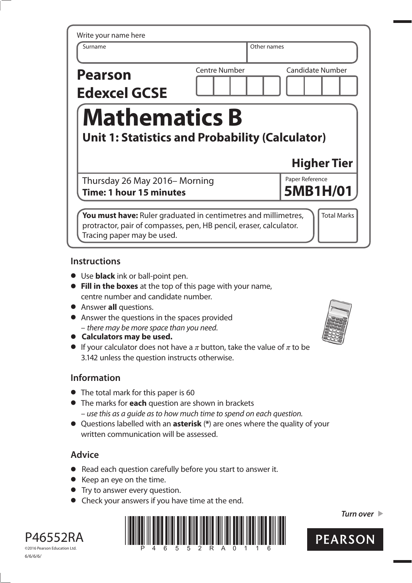| Write your name here                                   |                      |                         |
|--------------------------------------------------------|----------------------|-------------------------|
| Surname                                                | Other names          |                         |
| <b>Pearson</b>                                         | <b>Centre Number</b> | <b>Candidate Number</b> |
| <b>Edexcel GCSE</b>                                    |                      |                         |
| <b>Mathematics B</b>                                   |                      |                         |
|                                                        |                      |                         |
| <b>Unit 1: Statistics and Probability (Calculator)</b> |                      |                         |
|                                                        |                      | <b>Higher Tier</b>      |
| Thursday 26 May 2016 - Morning                         |                      | Paper Reference         |
| Time: 1 hour 15 minutes                                |                      | 5MB1H/01                |
|                                                        |                      |                         |

## **Instructions**

- **•** Use **black** ink or ball-point pen.
- **• Fill in the boxes** at the top of this page with your name, centre number and candidate number.
- **•** Answer **all** questions.
- **•** Answer the questions in the spaces provided – there may be more space than you need.
- **• Calculators may be used.**
- If your calculator does not have a  $\pi$  button, take the value of  $\pi$  to be 3.142 unless the question instructs otherwise.

# **Information**

- **•** The total mark for this paper is 60
- **•** The marks for **each** question are shown in brackets – use this as a guide as to how much time to spend on each question.
- **•** Questions labelled with an **asterisk** (**\***) are ones where the quality of your written communication will be assessed.

# **Advice**

- **•** Read each question carefully before you start to answer it.
- **•** Keep an eye on the time.
- **•** Try to answer every question.
- **•** Check your answers if you have time at the end.



*Turn over* 



P46552RA ©2016 Pearson Education Ltd. 6/6/6/6/

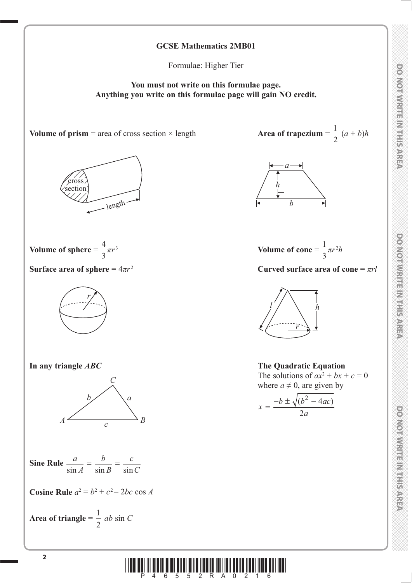# **DOMORATION CONTROL**

DO NOTWRITE IN THIS AREA

## **GCSE Mathematics 2MB01**

Formulae: Higher Tier

**You must not write on this formulae page. Anything you write on this formulae page will gain NO credit.**

**Volume of prism** = area of cross section  $\times$  length





Surface area of sphere =  $4\pi r^2$ 





**Sine Rule**  $\frac{a}{\sin A}$ *b B c*  $\frac{a}{\sin A} = \frac{b}{\sin B} = \frac{c}{\sin C}$ 

**Cosine Rule**  $a^2 = b^2 + c^2 - 2bc \cos A$ 

Area of triangle = 
$$
\frac{1}{2}
$$
 ab sin C

 $\frac{1}{2} (a + b)h$ 





**Surface area of sphere**  $= 4\pi r^2$  **Curved surface area of cone**  $= \pi rl$ 



**In any triangle** *ABC* **The Quadratic Equation**  $\Gamma$  The solutions of  $ax^2 + bx + c = 0$ where  $a \neq 0$ , are given by

$$
x = \frac{-b \pm \sqrt{(b^2 - 4ac)}}{2a}
$$

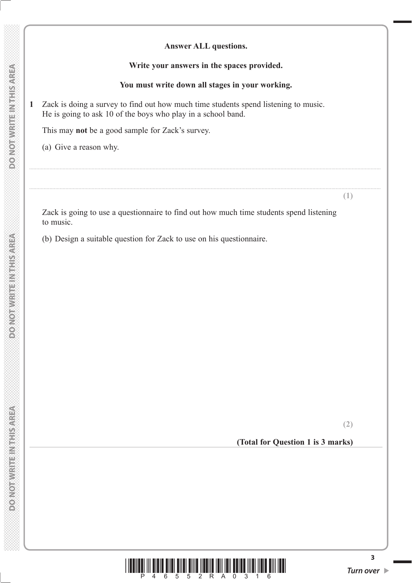### **Write your answers in the spaces provided.**

### **You must write down all stages in your working.**

..................................................................................................................................................................................................................................................

..................................................................................................................................................................................................................................................

**1** Zack is doing a survey to find out how much time students spend listening to music. He is going to ask 10 of the boys who play in a school band.

This may **not** be a good sample for Zack's survey.

(a) Give a reason why.

 Zack is going to use a questionnaire to find out how much time students spend listening to music.

(b) Design a suitable question for Zack to use on his questionnaire.

**(2)**

**(1)**

**(Total for Question 1 is 3 marks)**



**DONOT WRITEINTHIS AREA**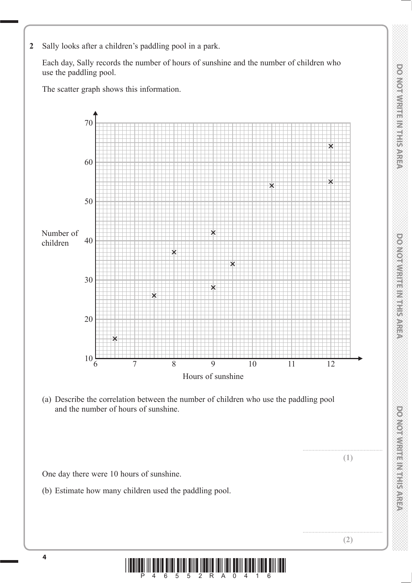- **DO NOTWRITE IN THIS AREA**
- *DO NOT WRITE IN THIS AREA DO NOT WRITE IN THIS AREA DO NOT WRITE IN THIS AREA DO NOT WRITE IN THIS AREA DO NOT WRITE IN THIS AREA DO NOT WRITE IN THIS AREA DO NOT WRITE IN THIS AREA DO NOT WRITE IN THIS AREA DO NOT WRITE* **DO NOTWRITEIN THE WEBA**
- **DOMOROMENT BEST SARE**

**2** Sally looks after a children's paddling pool in a park.

 Each day, Sally records the number of hours of sunshine and the number of children who use the paddling pool.

The scatter graph shows this information.



 (a) Describe the correlation between the number of children who use the paddling pool and the number of hours of sunshine.

**(1)**

**(2)**

One day there were 10 hours of sunshine.

(b) Estimate how many children used the paddling pool.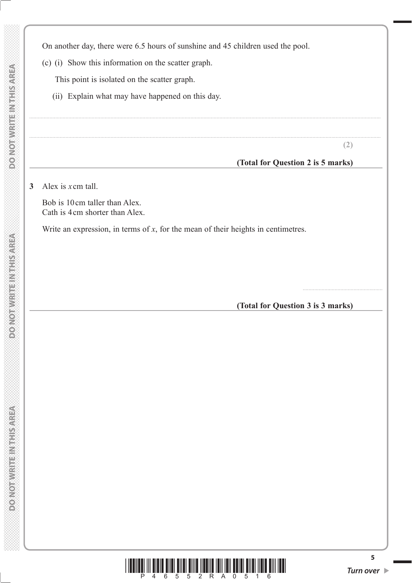On another day, there were 6.5 hours of sunshine and 45 children used the pool.

..................................................................................................................................................................................................................................................

(c) (i) Show this information on the scatter graph.

This point is isolated on the scatter graph.

(ii) Explain what may have happened on this day.

**(2)**

.......................................................

### **(Total for Question 2 is 5 marks)**

**3** Alex is *x*cm tall.

 Bob is 10cm taller than Alex. Cath is 4cm shorter than Alex.

Write an expression, in terms of *x*, for the mean of their heights in centimetres.

**(Total for Question 3 is 3 marks)**

**MONOTHURIE INSTRUCTOR** 

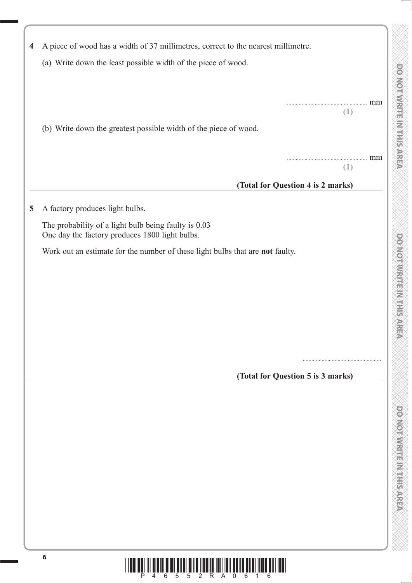| $\overline{\mathbf{4}}$ | A piece of wood has a width of 37 millimetres, correct to the nearest millimetre.                      |  |
|-------------------------|--------------------------------------------------------------------------------------------------------|--|
|                         | (a) Write down the least possible width of the piece of wood.                                          |  |
|                         |                                                                                                        |  |
|                         | mm<br>(1)                                                                                              |  |
|                         | (b) Write down the greatest possible width of the piece of wood.                                       |  |
|                         |                                                                                                        |  |
|                         | mm                                                                                                     |  |
|                         | (1)                                                                                                    |  |
|                         | (Total for Question 4 is 2 marks)                                                                      |  |
| 5                       | A factory produces light bulbs.                                                                        |  |
|                         | The probability of a light bulb being faulty is 0.03<br>One day the factory produces 1800 light bulbs. |  |
|                         | Work out an estimate for the number of these light bulbs that are not faulty.                          |  |
|                         |                                                                                                        |  |
|                         |                                                                                                        |  |
|                         |                                                                                                        |  |
|                         |                                                                                                        |  |
|                         |                                                                                                        |  |
|                         |                                                                                                        |  |
|                         | (Total for Question 5 is 3 marks)                                                                      |  |
|                         |                                                                                                        |  |
|                         |                                                                                                        |  |
|                         |                                                                                                        |  |
|                         |                                                                                                        |  |
|                         |                                                                                                        |  |
|                         |                                                                                                        |  |
|                         |                                                                                                        |  |
|                         |                                                                                                        |  |
|                         |                                                                                                        |  |
|                         |                                                                                                        |  |
|                         |                                                                                                        |  |

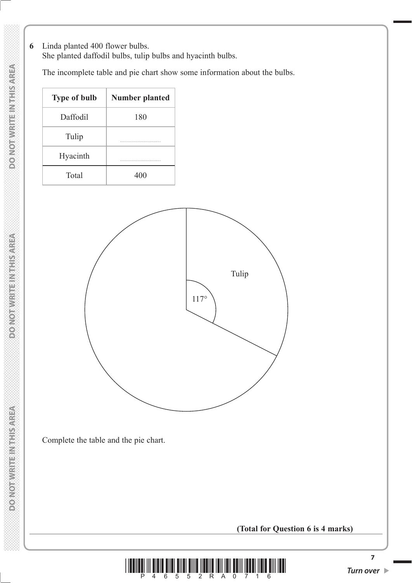**6** Linda planted 400 flower bulbs.

She planted daffodil bulbs, tulip bulbs and hyacinth bulbs.

The incomplete table and pie chart show some information about the bulbs.

| <b>Type of bulb</b> | <b>Number planted</b> |
|---------------------|-----------------------|
| Daffodil            | 180                   |
| Tulip               |                       |
| Hyacinth            |                       |
| Total               | 400                   |



Complete the table and the pie chart.

**(Total for Question 6 is 4 marks)**



**7**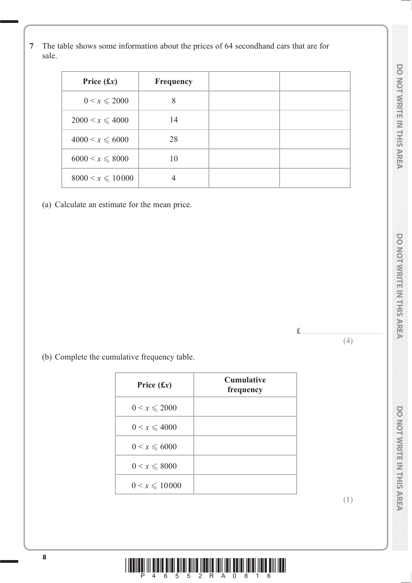**7** The table shows some information about the prices of 64 secondhand cars that are for sale.

| Price $(f(x))$        | Frequency |  |
|-----------------------|-----------|--|
| $0 < x \le 2000$      | 8         |  |
| $2000 < x \leq 4000$  | 14        |  |
| $4000 < x \le 6000$   | 28        |  |
| $6000 < x \le 8000$   | 10        |  |
| $8000 < x \leq 10000$ |           |  |

(a) Calculate an estimate for the mean price.



(b) Complete the cumulative frequency table.

| Price $(fx)$      | <b>Cumulative</b><br>frequency |
|-------------------|--------------------------------|
| $0 < x \le 2000$  |                                |
| $0 < x \leq 4000$ |                                |
| $0 < x \leq 6000$ |                                |
| $0 < x \le 8000$  |                                |
| $0 < x \le 10000$ |                                |

**(1)**

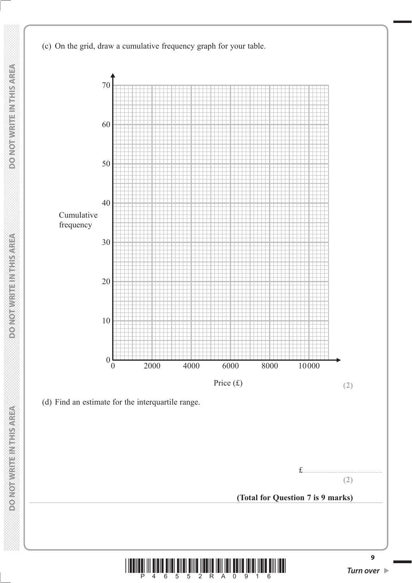(c) On the grid, draw a cumulative frequency graph for your table.



**9**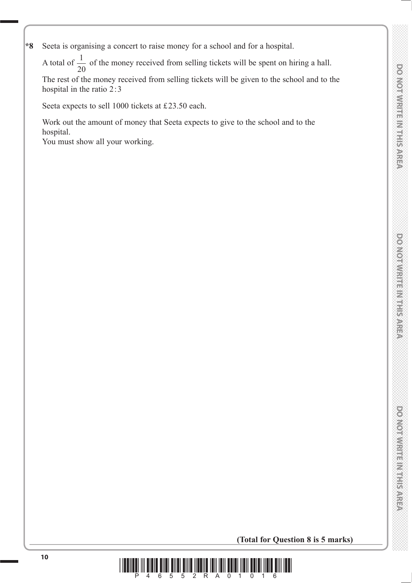**\*8** Seeta is organising a concert to raise money for a school and for a hospital.

A total of  $\frac{1}{20}$  of the money received from selling tickets will be spent on hiring a hall.<br>The rest of the money received from selling tickets will be given to the school and to t

 The rest of the money received from selling tickets will be given to the school and to the hospital in the ratio 2:3

Seeta expects to sell 1000 tickets at £23.50 each.

 Work out the amount of money that Seeta expects to give to the school and to the hospital.

You must show all your working.

 **(Total for Question 8 is 5 marks)**

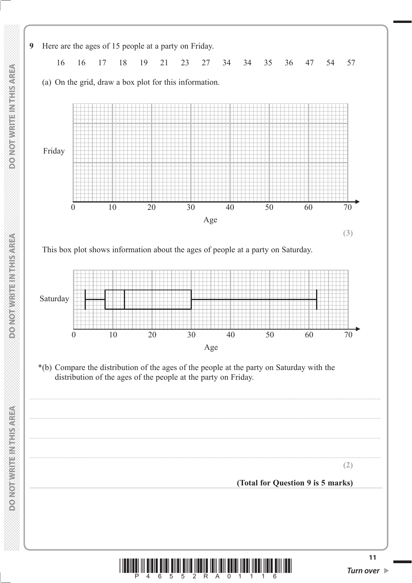

**<sup>11</sup>** \*P46552RA01116\* *Turn over* 

 **DO NOT WRITE IN THIS AREA DO NOT WRITE IN THIS AREA DO NOT WRITE IN THIS AREA DO NOT WRITE IN THIS AREA DO NOT WRITE IN THIS AREA DO NOT WRITE IN THE INTEGRATION OF THE INTEGRATION OF THE INTEGRATION OF THE INTEGRAL CONT POINOT WRITE/NITHS/AREA** 

**MERINES HERRICES MOTORS**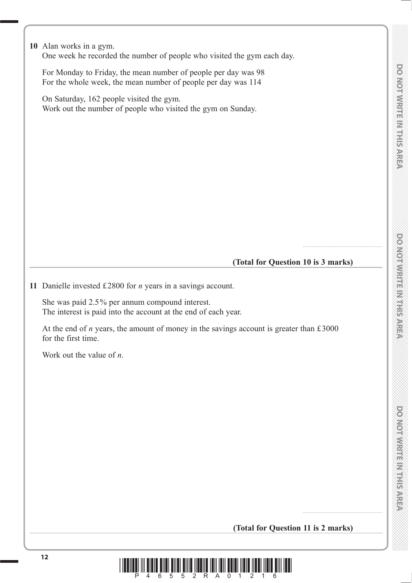**DOMORWRITE MIRIS AREA** 

**10** Alan works in a gym. One week he recorded the number of people who visited the gym each day. For Monday to Friday, the mean number of people per day was 98 For the whole week, the mean number of people per day was 114 On Saturday, 162 people visited the gym. Work out the number of people who visited the gym on Sunday. **(Total for Question 10 is 3 marks) 11** Danielle invested £2800 for *n* years in a savings account. She was paid 2.5% per annum compound interest. The interest is paid into the account at the end of each year. At the end of  $n$  years, the amount of money in the savings account is greater than  $£3000$ for the first time. Work out the value of *n*. **(Total for Question 11 is 2 marks)**

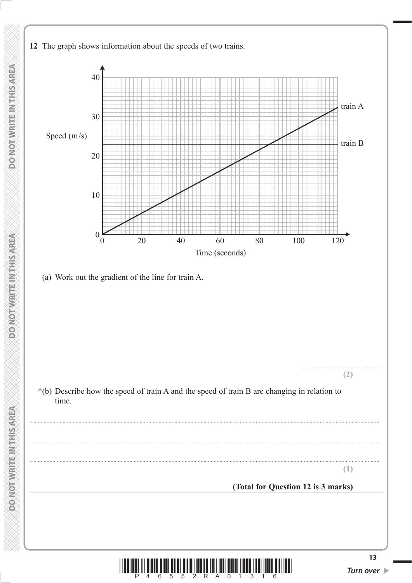



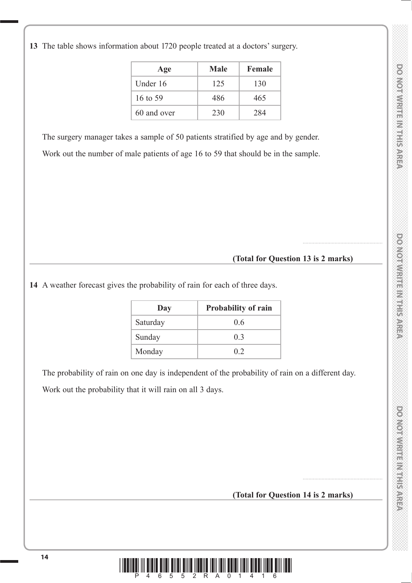|  |  | 13 The table shows information about 1720 people treated at a doctors' surgery. |
|--|--|---------------------------------------------------------------------------------|
|  |  |                                                                                 |

| Age         | Male | <b>Female</b> |
|-------------|------|---------------|
| Under 16    | 125  | 130           |
| 16 to 59    | 486  | 465           |
| 60 and over | 230  | 284           |

The surgery manager takes a sample of 50 patients stratified by age and by gender.

Work out the number of male patients of age 16 to 59 that should be in the sample.

# **(Total for Question 13 is 2 marks)**

.......................................................

**14** A weather forecast gives the probability of rain for each of three days.

| Day      | <b>Probability of rain</b> |
|----------|----------------------------|
| Saturday | 0 <sub>6</sub>             |
| Sunday   | 0 <sub>3</sub>             |
| Monday   | 02                         |

 The probability of rain on one day is independent of the probability of rain on a different day. Work out the probability that it will rain on all 3 days.

**(Total for Question 14 is 2 marks)**

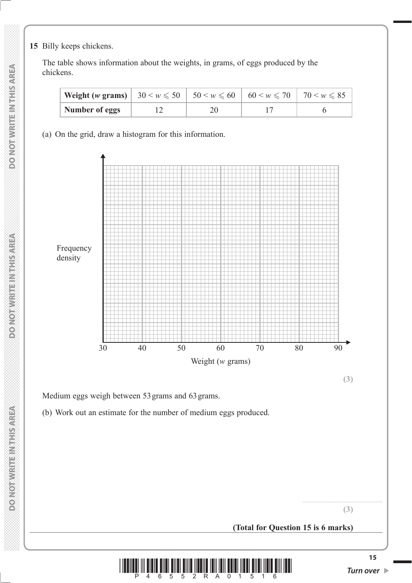**15** Billy keeps chickens.

 The table shows information about the weights, in grams, of eggs produced by the chickens.

| <b>Weight (w grams)</b> $30 \le w \le 50$   $50 \le w \le 60$   $60 \le w \le 70$   $70 \le w \le 85$ |  |  |
|-------------------------------------------------------------------------------------------------------|--|--|
| Number of eggs                                                                                        |  |  |

(a) On the grid, draw a histogram for this information.



**(3)**

Medium eggs weigh between 53grams and 63grams.

(b) Work out an estimate for the number of medium eggs produced.

**(3)**

**(Total for Question 15 is 6 marks)**